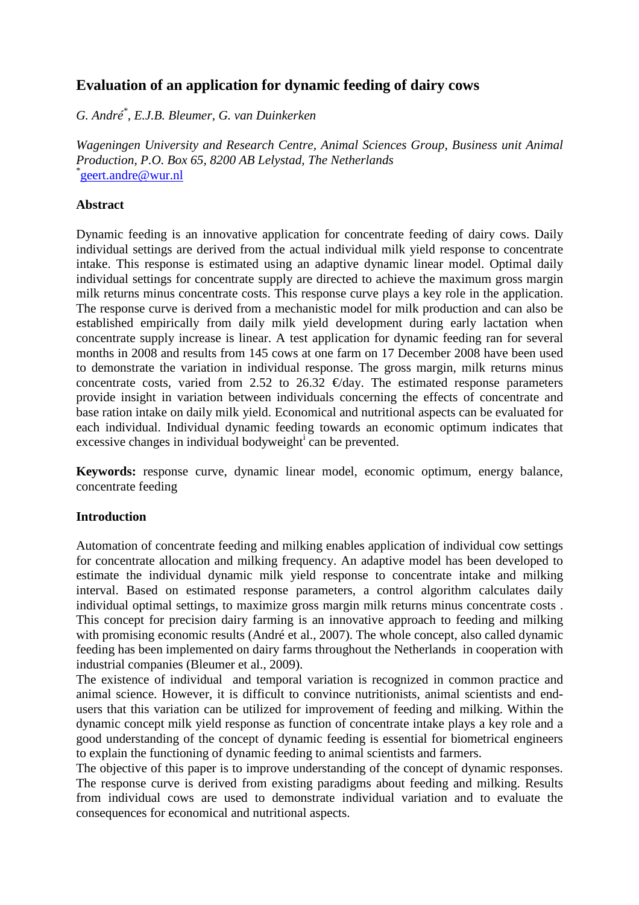# **Evaluation of an application for dynamic feeding of dairy cows**

*G. André\* , E.J.B. Bleumer, G. van Duinkerken* 

*Wageningen University and Research Centre, Animal Sciences Group, Business unit Animal Production, P.O. Box 65, 8200 AB Lelystad, The Netherlands*  \* geert.andre@wur.nl

## **Abstract**

Dynamic feeding is an innovative application for concentrate feeding of dairy cows. Daily individual settings are derived from the actual individual milk yield response to concentrate intake. This response is estimated using an adaptive dynamic linear model. Optimal daily individual settings for concentrate supply are directed to achieve the maximum gross margin milk returns minus concentrate costs. This response curve plays a key role in the application. The response curve is derived from a mechanistic model for milk production and can also be established empirically from daily milk yield development during early lactation when concentrate supply increase is linear. A test application for dynamic feeding ran for several months in 2008 and results from 145 cows at one farm on 17 December 2008 have been used to demonstrate the variation in individual response. The gross margin, milk returns minus concentrate costs, varied from 2.52 to 26.32  $\epsilon$ /day. The estimated response parameters provide insight in variation between individuals concerning the effects of concentrate and base ration intake on daily milk yield. Economical and nutritional aspects can be evaluated for each individual. Individual dynamic feeding towards an economic optimum indicates that excessive changes in individual bodyweight $\mathbf{i}$  can be prevented.

**Keywords:** response curve, dynamic linear model, economic optimum, energy balance, concentrate feeding

## **Introduction**

Automation of concentrate feeding and milking enables application of individual cow settings for concentrate allocation and milking frequency. An adaptive model has been developed to estimate the individual dynamic milk yield response to concentrate intake and milking interval. Based on estimated response parameters, a control algorithm calculates daily individual optimal settings, to maximize gross margin milk returns minus concentrate costs . This concept for precision dairy farming is an innovative approach to feeding and milking with promising economic results (André et al., 2007). The whole concept, also called dynamic feeding has been implemented on dairy farms throughout the Netherlands in cooperation with industrial companies (Bleumer et al., 2009).

The existence of individual and temporal variation is recognized in common practice and animal science. However, it is difficult to convince nutritionists, animal scientists and endusers that this variation can be utilized for improvement of feeding and milking. Within the dynamic concept milk yield response as function of concentrate intake plays a key role and a good understanding of the concept of dynamic feeding is essential for biometrical engineers to explain the functioning of dynamic feeding to animal scientists and farmers.

The objective of this paper is to improve understanding of the concept of dynamic responses. The response curve is derived from existing paradigms about feeding and milking. Results from individual cows are used to demonstrate individual variation and to evaluate the consequences for economical and nutritional aspects.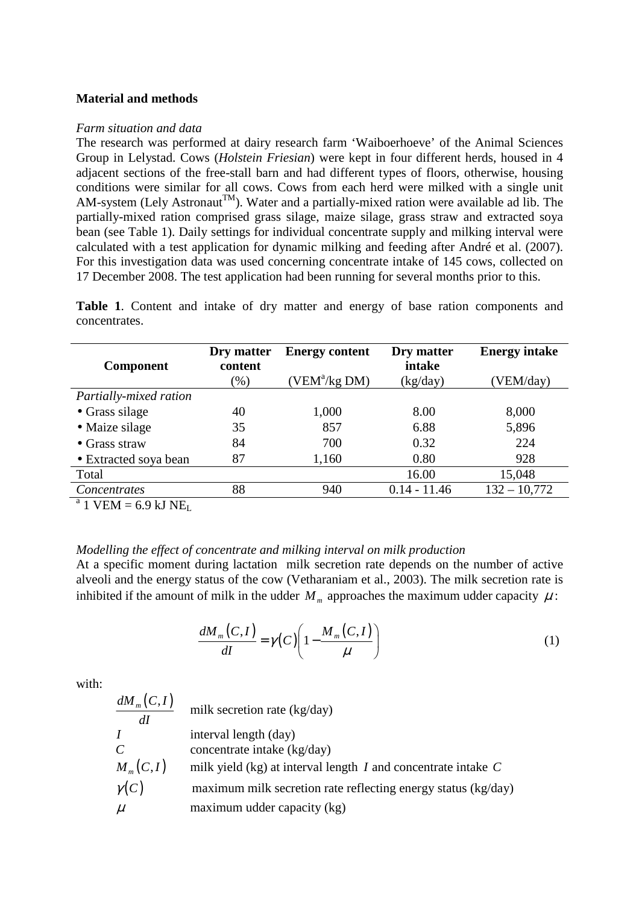## **Material and methods**

#### *Farm situation and data*

The research was performed at dairy research farm 'Waiboerhoeve' of the Animal Sciences Group in Lelystad. Cows (*Holstein Friesian*) were kept in four different herds, housed in 4 adjacent sections of the free-stall barn and had different types of floors, otherwise, housing conditions were similar for all cows. Cows from each herd were milked with a single unit AM-system (Lely Astronaut<sup>TM</sup>). Water and a partially-mixed ration were available ad lib. The partially-mixed ration comprised grass silage, maize silage, grass straw and extracted soya bean (see Table 1). Daily settings for individual concentrate supply and milking interval were calculated with a test application for dynamic milking and feeding after André et al. (2007). For this investigation data was used concerning concentrate intake of 145 cows, collected on 17 December 2008. The test application had been running for several months prior to this.

**Table 1**. Content and intake of dry matter and energy of base ration components and concentrates.

| <b>Component</b>       | Dry matter<br>content | <b>Energy content</b> | Dry matter<br>intake | <b>Energy intake</b> |
|------------------------|-----------------------|-----------------------|----------------------|----------------------|
|                        | $(\% )$               | $(VEM^a/kg DM)$       | (kg/day)             | (VEM/day)            |
| Partially-mixed ration |                       |                       |                      |                      |
| • Grass silage         | 40                    | 1,000                 | 8.00                 | 8,000                |
| • Maize silage         | 35                    | 857                   | 6.88                 | 5,896                |
| $\bullet$ Grass straw  | 84                    | 700                   | 0.32                 | 224                  |
| • Extracted soya bean  | 87                    | 1,160                 | 0.80                 | 928                  |
| Total                  |                       |                       | 16.00                | 15,048               |
| Concentrates           | 88                    | 940                   | $0.14 - 11.46$       | $132 - 10,772$       |
|                        |                       |                       |                      |                      |

 $a<sup>a</sup>$  1 VEM = 6.9 kJ NE<sub>L</sub>

### *Modelling the effect of concentrate and milking interval on milk production*

At a specific moment during lactation milk secretion rate depends on the number of active alveoli and the energy status of the cow (Vetharaniam et al., 2003). The milk secretion rate is inhibited if the amount of milk in the udder  $M_m$  approaches the maximum udder capacity  $\mu$ :

$$
\frac{dM_m(C,I)}{dI} = \gamma(C) \left( 1 - \frac{M_m(C,I)}{\mu} \right) \tag{1}
$$

with:

| $dM_{m}(C,I)$<br>$d\bm{l}$ | milk secretion rate (kg/day)                                      |
|----------------------------|-------------------------------------------------------------------|
| $\overline{I}$             | interval length (day)                                             |
| $\mathcal{C}_{0}^{0}$      | concentrate intake (kg/day)                                       |
| $M_m(C,I)$                 | milk yield (kg) at interval length $I$ and concentrate intake $C$ |
| $\gamma(C)$                | maximum milk secretion rate reflecting energy status (kg/day)     |
| $\mu$                      | maximum udder capacity (kg)                                       |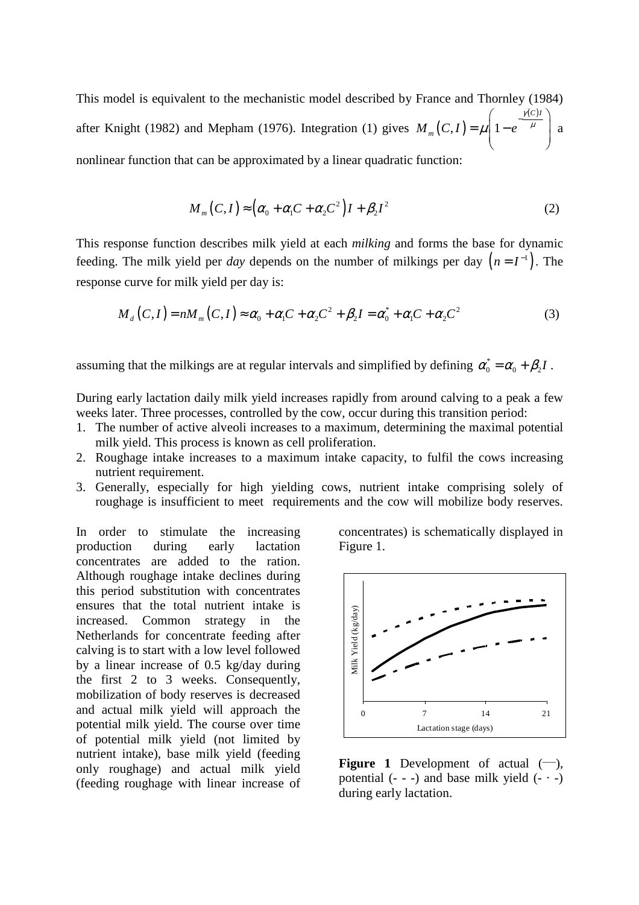This model is equivalent to the mechanistic model described by France and Thornley (1984) after Knight (1982) and Mepham (1976). Integration (1) gives  $M_m(C, I)$  $\left( c\right)$  $,I)=\mu|1$ *C I*  $M_m(C,I) = \mu | 1 - e$ γ  $\mu$ | 1 –  $e^{\mu}$  $\left( \frac{\gamma(C)I}{\gamma(C)} \right)$  $=\mu\left(1-e^{-\mu}\right)$  a nonlinear function that can be approximated by a linear quadratic function:

$$
M_m(C,I) \approx \left(\alpha_0 + \alpha_1 C + \alpha_2 C^2\right)I + \beta_2 I^2
$$
 (2)

This response function describes milk yield at each *milking* and forms the base for dynamic feeding. The milk yield per *day* depends on the number of milkings per day  $(n = I^{-1})$ . The response curve for milk yield per day is:

$$
M_d(C,I) = nM_m(C,I) \approx \alpha_0 + \alpha_1 C + \alpha_2 C^2 + \beta_2 I = \alpha_0^* + \alpha_1 C + \alpha_2 C^2
$$
 (3)

assuming that the milkings are at regular intervals and simplified by defining  $\alpha_0^* = \alpha_0 + \beta_2 I$ .

During early lactation daily milk yield increases rapidly from around calving to a peak a few weeks later. Three processes, controlled by the cow, occur during this transition period:

- 1. The number of active alveoli increases to a maximum, determining the maximal potential milk yield. This process is known as cell proliferation.
- 2. Roughage intake increases to a maximum intake capacity, to fulfil the cows increasing nutrient requirement.
- 3. Generally, especially for high yielding cows, nutrient intake comprising solely of roughage is insufficient to meet requirements and the cow will mobilize body reserves.

In order to stimulate the increasing production during early lactation concentrates are added to the ration. Although roughage intake declines during this period substitution with concentrates ensures that the total nutrient intake is increased. Common strategy in the Netherlands for concentrate feeding after calving is to start with a low level followed by a linear increase of 0.5 kg/day during the first 2 to 3 weeks. Consequently, mobilization of body reserves is decreased and actual milk yield will approach the potential milk yield. The course over time of potential milk yield (not limited by nutrient intake), base milk yield (feeding only roughage) and actual milk yield (feeding roughage with linear increase of concentrates) is schematically displayed in Figure 1.



**Figure 1** Development of actual  $(-)$ , potential  $(- - )$  and base milk yield  $(- - )$ during early lactation.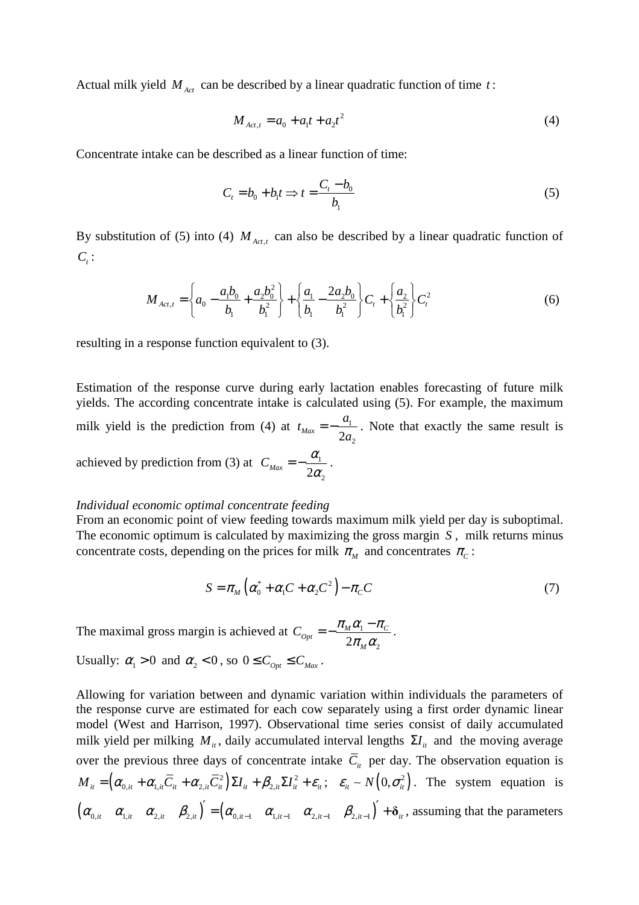Actual milk yield *M Act* can be described by a linear quadratic function of time *t* :

$$
M_{Act,t} = a_0 + a_1 t + a_2 t^2
$$
 (4)

Concentrate intake can be described as a linear function of time:

$$
C_t = b_0 + b_1 t \Rightarrow t = \frac{C_t - b_0}{b_1}
$$
 (5)

By substitution of (5) into (4)  $M_{\text{Act,}t}$  can also be described by a linear quadratic function of  $C_{t}$ :

$$
M_{Act,t} = \left\{ a_0 - \frac{a_1 b_0}{b_1} + \frac{a_2 b_0^2}{b_1^2} \right\} + \left\{ \frac{a_1}{b_1} - \frac{2a_2 b_0}{b_1^2} \right\} C_t + \left\{ \frac{a_2}{b_1^2} \right\} C_t^2
$$
 (6)

resulting in a response function equivalent to (3).

Estimation of the response curve during early lactation enables forecasting of future milk yields. The according concentrate intake is calculated using (5). For example, the maximum milk yield is the prediction from (4) at  $t_{\text{Max}} = -\frac{u_1}{\epsilon}$  $\frac{Max}{2a_2}$  $t_{\text{Max}} = -\frac{a}{2}$ *a*  $=-\frac{a_1}{2}$ . Note that exactly the same result is achieved by prediction from (3) at  $C_{\text{Max}} = -\frac{\omega_1}{\omega_2}$  $C_{\text{Max}} = -\frac{\alpha_1}{2\alpha_2}$  $=-\frac{\alpha_1}{2\alpha_2}$ .

#### *Individual economic optimal concentrate feeding*

From an economic point of view feeding towards maximum milk yield per day is suboptimal. The economic optimum is calculated by maximizing the gross margin *S* , milk returns minus concentrate costs, depending on the prices for milk  $\pi_M$  and concentrates  $\pi_c$ :

$$
S = \pi_M \left( \alpha_0^* + \alpha_1 C + \alpha_2 C^2 \right) - \pi_C C \tag{7}
$$

The maximal gross margin is achieved at  $C_{0pt} = -\frac{n_M \omega_1}{2}$  $2\pi_{_M}\alpha_{_2}$  $\alpha_{opt} = -\frac{n_M \alpha_1}{2\pi} \frac{n_C}{\alpha_0}$ *M*  $C_{\text{Out}} = -\frac{\pi_{\text{M}}\alpha_1 - \pi_{\text{M}}}{2}$  $\pi_{\scriptscriptstyle M}\alpha$  $=-\frac{\pi_{M}\alpha_{1}-\pi_{C}}{2}$ . Usually:  $\alpha_1 > 0$  and  $\alpha_2 < 0$ , so  $0 \leq C_{\text{Opt}} \leq C_{\text{Max}}$ .

Allowing for variation between and dynamic variation within individuals the parameters of the response curve are estimated for each cow separately using a first order dynamic linear model (West and Harrison, 1997). Observational time series consist of daily accumulated milk yield per milking  $M_i$ , daily accumulated interval lengths  $\Sigma I_i$  and the moving average over the previous three days of concentrate intake  $\overline{C}_{it}$  per day. The observation equation is  $M_{ii} = \left( \alpha_{0,i} + \alpha_{1,i} \overline{C}_{ii} + \alpha_{2,i} \overline{C}_{ii}^2 \right) \Sigma I_{ii} + \beta_{2,i} \Sigma I_{ii}^2 + \varepsilon_{ii}; \quad \varepsilon_{ii} \sim N\left(0, \sigma_{ii}^2\right)$ . The system equation is  $(\alpha_{0,i}, \alpha_{1,i}, \alpha_{2,i}, \beta_{2,i})' = (\alpha_{0,i-1}, \alpha_{1,i-1}, \alpha_{2,i-1}, \beta_{2,i-1})' + \delta_{i},$  assuming that the parameters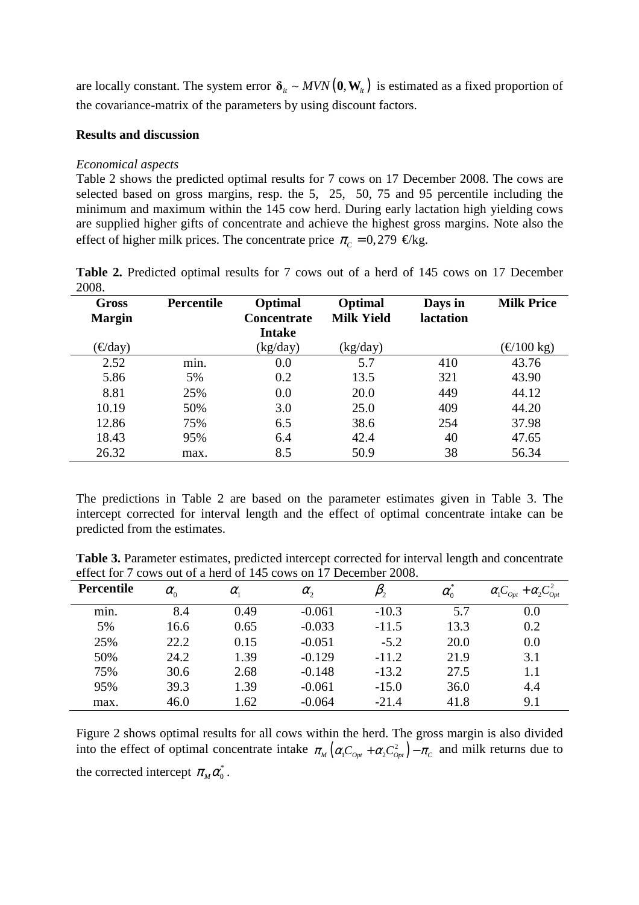are locally constant. The system error  $\delta_i \sim MVN(\mathbf{0}, \mathbf{W}_i)$  is estimated as a fixed proportion of the covariance-matrix of the parameters by using discount factors.

## **Results and discussion**

## *Economical aspects*

Table 2 shows the predicted optimal results for 7 cows on 17 December 2008. The cows are selected based on gross margins, resp. the 5, 25, 50, 75 and 95 percentile including the minimum and maximum within the 145 cow herd. During early lactation high yielding cows are supplied higher gifts of concentrate and achieve the highest gross margins. Note also the effect of higher milk prices. The concentrate price  $\pi_c = 0.279 \in \text{/kg}$ .

**Table 2.** Predicted optimal results for 7 cows out of a herd of 145 cows on 17 December 2008.

| Gross<br><b>Margin</b> | <b>Percentile</b> | Optimal<br><b>Concentrate</b><br><b>Intake</b> | Optimal<br><b>Milk Yield</b> | Days in<br>lactation | <b>Milk Price</b> |
|------------------------|-------------------|------------------------------------------------|------------------------------|----------------------|-------------------|
| $\epsilon$ /day)       |                   | (kg/day)                                       | (kg/day)                     |                      | $\in$ (100 kg)    |
| 2.52                   | min.              | 0.0                                            | 5.7                          | 410                  | 43.76             |
| 5.86                   | 5%                | 0.2                                            | 13.5                         | 321                  | 43.90             |
| 8.81                   | 25%               | 0.0                                            | 20.0                         | 449                  | 44.12             |
| 10.19                  | 50%               | 3.0                                            | 25.0                         | 409                  | 44.20             |
| 12.86                  | 75%               | 6.5                                            | 38.6                         | 254                  | 37.98             |
| 18.43                  | 95%               | 6.4                                            | 42.4                         | 40                   | 47.65             |
| 26.32                  | max.              | 8.5                                            | 50.9                         | 38                   | 56.34             |

The predictions in Table 2 are based on the parameter estimates given in Table 3. The intercept corrected for interval length and the effect of optimal concentrate intake can be predicted from the estimates.

**Table 3.** Parameter estimates, predicted intercept corrected for interval length and concentrate effect for 7 cows out of a herd of 145 cows on 17 December 2008.

| Percentile | $\alpha_{0}$ | $\alpha_{1}$ | $\alpha_{2}$ |         | $\alpha_{0}$ | $\alpha_1 C_{0pt} + \alpha_2 C_{0pt}^2$ |
|------------|--------------|--------------|--------------|---------|--------------|-----------------------------------------|
| min.       | 8.4          | 0.49         | $-0.061$     | $-10.3$ | 5.7          | 0.0                                     |
| 5%         | 16.6         | 0.65         | $-0.033$     | $-11.5$ | 13.3         | 0.2                                     |
| 25%        | 22.2         | 0.15         | $-0.051$     | $-5.2$  | 20.0         | 0.0                                     |
| 50%        | 24.2         | 1.39         | $-0.129$     | $-11.2$ | 21.9         | 3.1                                     |
| 75%        | 30.6         | 2.68         | $-0.148$     | $-13.2$ | 27.5         | 1.1                                     |
| 95%        | 39.3         | 1.39         | $-0.061$     | $-15.0$ | 36.0         | 4.4                                     |
| max.       | 46.0         | 1.62         | $-0.064$     | $-21.4$ | 41.8         | 9.1                                     |

Figure 2 shows optimal results for all cows within the herd. The gross margin is also divided into the effect of optimal concentrate intake  $\pi_M (\alpha_1 C_{\rho_{pt}} + \alpha_2 C_{\rho_{pt}}^2) - \pi_c$  and milk returns due to the corrected intercept  $\pi_M \alpha_0^*$ .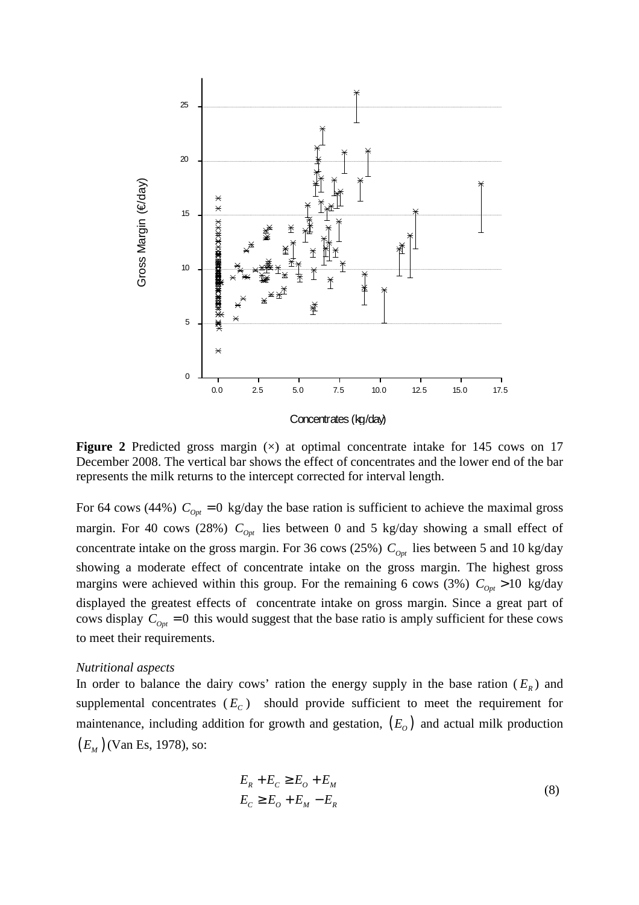

**Figure 2** Predicted gross margin ( $\times$ ) at optimal concentrate intake for 145 cows on 17 December 2008. The vertical bar shows the effect of concentrates and the lower end of the bar represents the milk returns to the intercept corrected for interval length.

For 64 cows (44%)  $C_{\text{opt}} = 0$  kg/day the base ration is sufficient to achieve the maximal gross margin. For 40 cows (28%)  $C_{\rho v}$  lies between 0 and 5 kg/day showing a small effect of concentrate intake on the gross margin. For 36 cows (25%)  $C_{\text{out}}$  lies between 5 and 10 kg/day showing a moderate effect of concentrate intake on the gross margin. The highest gross margins were achieved within this group. For the remaining 6 cows (3%)  $C_{\text{opt}} > 10$  kg/day displayed the greatest effects of concentrate intake on gross margin. Since a great part of cows display  $C_{opt} = 0$  this would suggest that the base ratio is amply sufficient for these cows to meet their requirements.

#### *Nutritional aspects*

In order to balance the dairy cows' ration the energy supply in the base ration  $(E_R)$  and supplemental concentrates  $(E_c)$  should provide sufficient to meet the requirement for maintenance, including addition for growth and gestation,  $(E<sub>o</sub>)$  and actual milk production (*E<sup>M</sup>* ) (Van Es, 1978), so:

$$
E_R + E_C \ge E_O + E_M
$$
  
\n
$$
E_C \ge E_O + E_M - E_R
$$
\n(8)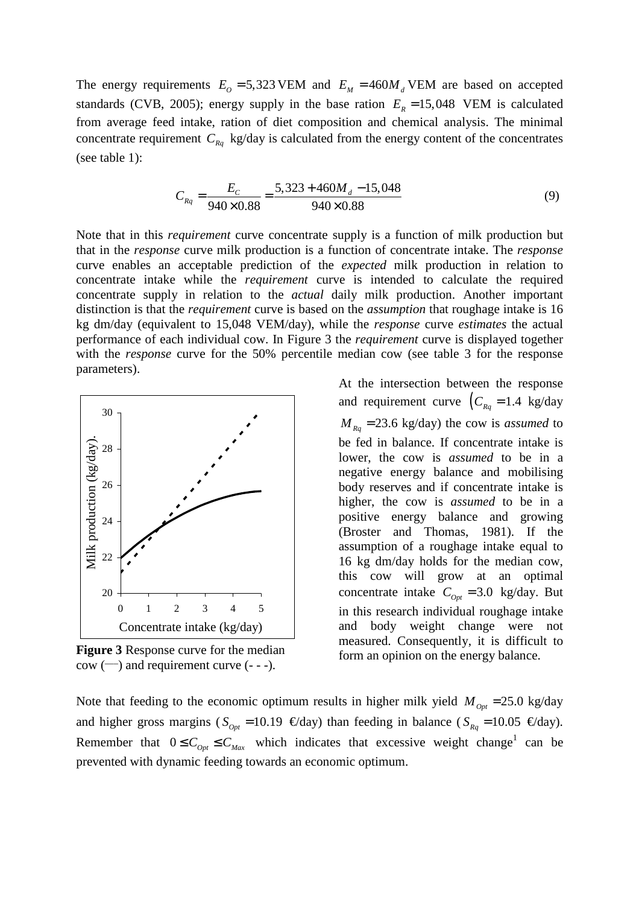The energy requirements  $E_0 = 5,323$  VEM and  $E_M = 460 M_d$  VEM are based on accepted standards (CVB, 2005); energy supply in the base ration  $E<sub>R</sub> = 15,048$  VEM is calculated from average feed intake, ration of diet composition and chemical analysis. The minimal concentrate requirement  $C_{Rq}$  kg/day is calculated from the energy content of the concentrates (see table 1):

$$
C_{Rq} = \frac{E_C}{940 \times 0.88} = \frac{5,323 + 460M_d - 15,048}{940 \times 0.88}
$$
(9)

Note that in this *requirement* curve concentrate supply is a function of milk production but that in the *response* curve milk production is a function of concentrate intake. The *response* curve enables an acceptable prediction of the *expected* milk production in relation to concentrate intake while the *requirement* curve is intended to calculate the required concentrate supply in relation to the *actual* daily milk production. Another important distinction is that the *requirement* curve is based on the *assumption* that roughage intake is 16 kg dm/day (equivalent to 15,048 VEM/day), while the *response* curve *estimates* the actual performance of each individual cow. In Figure 3 the *requirement* curve is displayed together with the *response* curve for the 50% percentile median cow (see table 3 for the response parameters).



**Figure 3** Response curve for the median  $\text{cow } (\text{---})$  and requirement curve (- - -).

At the intersection between the response and requirement curve  $\left(C_{Rq} = 1.4 \text{ kg/day}\right)$  $M_{Rq}$  = 23.6 kg/day) the cow is *assumed* to be fed in balance. If concentrate intake is lower, the cow is *assumed* to be in a negative energy balance and mobilising body reserves and if concentrate intake is higher, the cow is *assumed* to be in a positive energy balance and growing (Broster and Thomas, 1981). If the assumption of a roughage intake equal to 16 kg dm/day holds for the median cow, this cow will grow at an optimal concentrate intake  $C_{\text{Out}} = 3.0 \text{ kg/day}$ . But in this research individual roughage intake and body weight change were not measured. Consequently, it is difficult to form an opinion on the energy balance.

Note that feeding to the economic optimum results in higher milk yield  $M_{\text{out}} = 25.0 \text{ kg/day}$ and higher gross margins ( $S_{opt} = 10.19 \text{ } \text{€/day}$ ) than feeding in balance ( $S_{Rq} = 10.05 \text{ } \text{€/day}$ ). Remember that  $0 \leq C_{opt} \leq C_{Max}$  which indicates that excessive weight change<sup>1</sup> can be prevented with dynamic feeding towards an economic optimum.